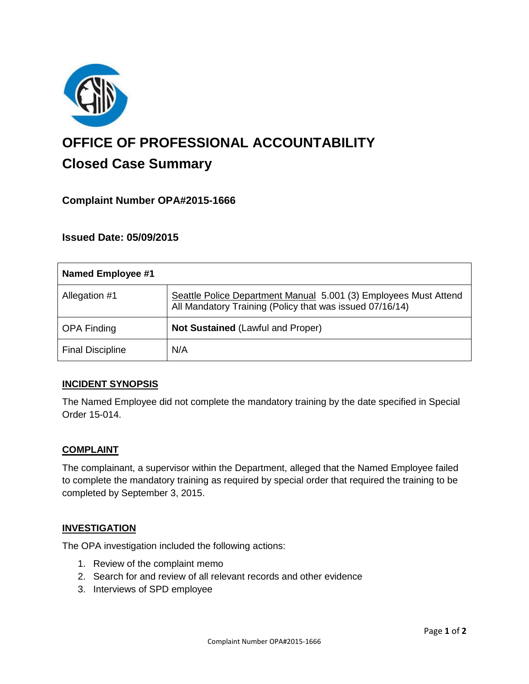

# **OFFICE OF PROFESSIONAL ACCOUNTABILITY Closed Case Summary**

# **Complaint Number OPA#2015-1666**

## **Issued Date: 05/09/2015**

| <b>Named Employee #1</b> |                                                                                                                              |
|--------------------------|------------------------------------------------------------------------------------------------------------------------------|
| Allegation #1            | Seattle Police Department Manual 5.001 (3) Employees Must Attend<br>All Mandatory Training (Policy that was issued 07/16/14) |
| <b>OPA Finding</b>       | <b>Not Sustained (Lawful and Proper)</b>                                                                                     |
| <b>Final Discipline</b>  | N/A                                                                                                                          |

## **INCIDENT SYNOPSIS**

The Named Employee did not complete the mandatory training by the date specified in Special Order 15-014.

#### **COMPLAINT**

The complainant, a supervisor within the Department, alleged that the Named Employee failed to complete the mandatory training as required by special order that required the training to be completed by September 3, 2015.

#### **INVESTIGATION**

The OPA investigation included the following actions:

- 1. Review of the complaint memo
- 2. Search for and review of all relevant records and other evidence
- 3. Interviews of SPD employee